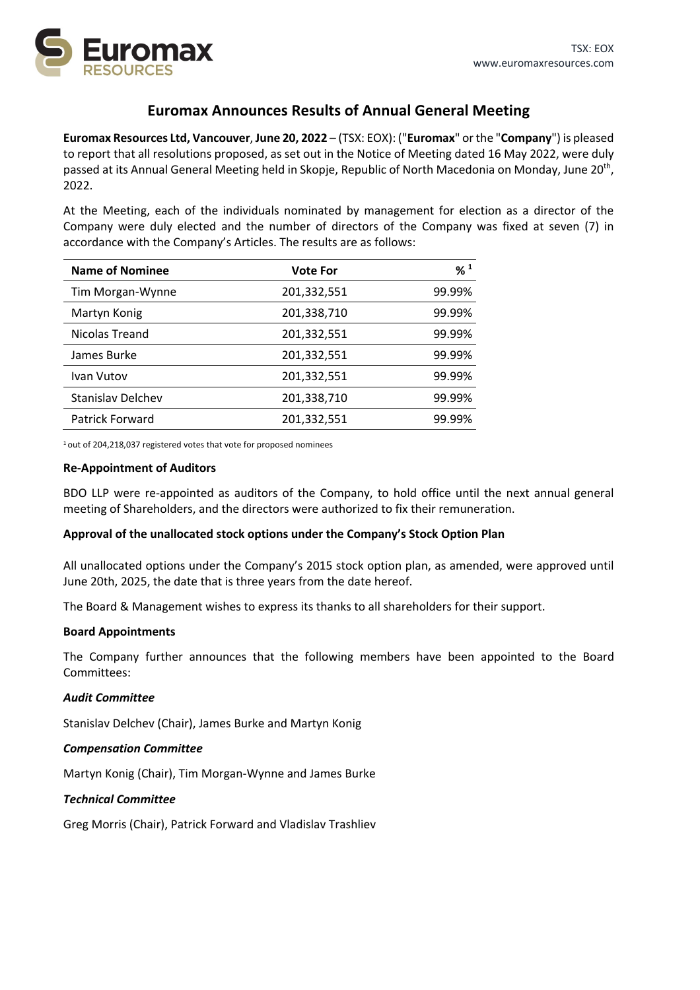

# **Euromax Announces Results of Annual General Meeting**

**Euromax Resources Ltd, Vancouver**, **June 20, 2022** – (TSX: EOX): ("**Euromax**" or the "**Company**") is pleased to report that all resolutions proposed, as set out in the Notice of Meeting dated 16 May 2022, were duly passed at its Annual General Meeting held in Skopje, Republic of North Macedonia on Monday, June 20<sup>th</sup>, 2022.

At the Meeting, each of the individuals nominated by management for election as a director of the Company were duly elected and the number of directors of the Company was fixed at seven (7) in accordance with the Company's Articles. The results are as follows:

| Name of Nominee          | <b>Vote For</b> | $%$ <sup>1</sup> |
|--------------------------|-----------------|------------------|
| Tim Morgan-Wynne         | 201,332,551     | 99.99%           |
| Martyn Konig             | 201,338,710     | 99.99%           |
| Nicolas Treand           | 201,332,551     | 99.99%           |
| James Burke              | 201,332,551     | 99.99%           |
| Ivan Vutov               | 201,332,551     | 99.99%           |
| <b>Stanislav Delchev</b> | 201,338,710     | 99.99%           |
| Patrick Forward          | 201,332,551     | 99.99%           |

1 out of 204,218,037 registered votes that vote for proposed nominees

#### **Re-Appointment of Auditors**

BDO LLP were re-appointed as auditors of the Company, to hold office until the next annual general meeting of Shareholders, and the directors were authorized to fix their remuneration.

#### **Approval of the unallocated stock options under the Company's Stock Option Plan**

All unallocated options under the Company's 2015 stock option plan, as amended, were approved until June 20th, 2025, the date that is three years from the date hereof.

The Board & Management wishes to express its thanks to all shareholders for their support.

#### **Board Appointments**

The Company further announces that the following members have been appointed to the Board Committees:

#### *Audit Committee*

Stanislav Delchev (Chair), James Burke and Martyn Konig

#### *Compensation Committee*

Martyn Konig (Chair), Tim Morgan-Wynne and James Burke

#### *Technical Committee*

Greg Morris (Chair), Patrick Forward and Vladislav Trashliev